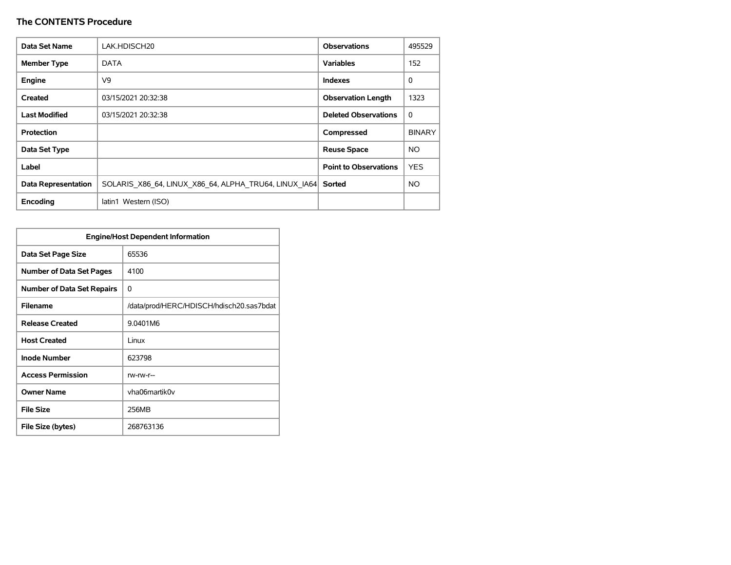| Data Set Name              | LAK.HDISCH20                                          | <b>Observations</b>          | 495529        |
|----------------------------|-------------------------------------------------------|------------------------------|---------------|
| <b>Member Type</b>         | <b>DATA</b>                                           | <b>Variables</b>             | 152           |
| Engine                     | V9                                                    | <b>Indexes</b>               | 0             |
| Created                    | 03/15/2021 20:32:38                                   | <b>Observation Length</b>    | 1323          |
| <b>Last Modified</b>       | 03/15/2021 20:32:38                                   | <b>Deleted Observations</b>  | $\Omega$      |
| Protection                 |                                                       | Compressed                   | <b>BINARY</b> |
| Data Set Type              |                                                       | <b>Reuse Space</b>           | NO.           |
| Label                      |                                                       | <b>Point to Observations</b> | <b>YES</b>    |
| <b>Data Representation</b> | SOLARIS X86 64, LINUX X86 64, ALPHA TRU64, LINUX IA64 | Sorted                       | NO.           |
| Encoding                   | latin1 Western (ISO)                                  |                              |               |

| <b>Engine/Host Dependent Information</b> |                                          |  |  |  |  |  |  |
|------------------------------------------|------------------------------------------|--|--|--|--|--|--|
| Data Set Page Size                       | 65536                                    |  |  |  |  |  |  |
| <b>Number of Data Set Pages</b>          | 4100                                     |  |  |  |  |  |  |
| <b>Number of Data Set Repairs</b>        | 0                                        |  |  |  |  |  |  |
| <b>Filename</b>                          | /data/prod/HERC/HDISCH/hdisch20.sas7bdat |  |  |  |  |  |  |
| <b>Release Created</b>                   | 9.0401M6                                 |  |  |  |  |  |  |
| <b>Host Created</b>                      | Linux                                    |  |  |  |  |  |  |
| <b>Inode Number</b>                      | 623798                                   |  |  |  |  |  |  |
| <b>Access Permission</b>                 | rw-rw-r--                                |  |  |  |  |  |  |
| <b>Owner Name</b>                        | vha06martik0v                            |  |  |  |  |  |  |
| <b>File Size</b>                         | 256MB                                    |  |  |  |  |  |  |
| File Size (bytes)                        | 268763136                                |  |  |  |  |  |  |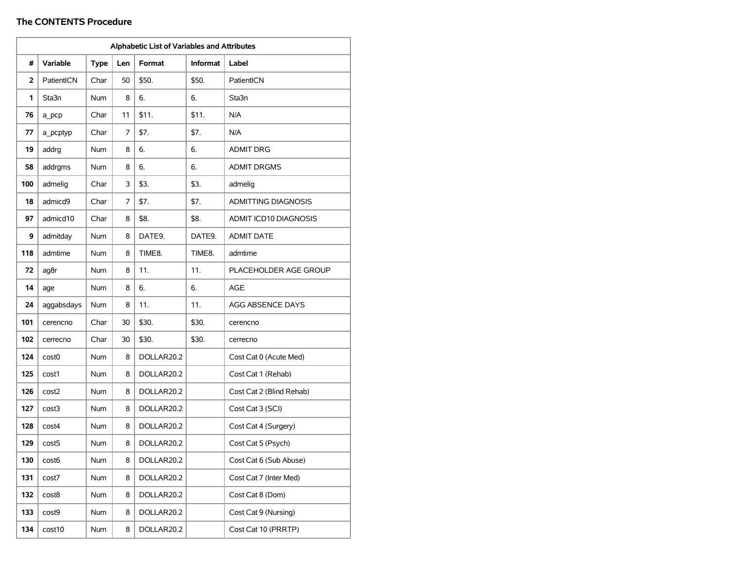|     | Alphabetic List of Variables and Attributes |             |     |            |                 |                            |  |  |  |  |
|-----|---------------------------------------------|-------------|-----|------------|-----------------|----------------------------|--|--|--|--|
| #   | <b>Variable</b>                             | <b>Type</b> | Len | Format     | <b>Informat</b> | Label                      |  |  |  |  |
| 2   | PatientICN                                  | Char        | 50  | \$50.      | \$50.           | PatientICN                 |  |  |  |  |
| 1   | Sta3n                                       | <b>Num</b>  | 8   | 6.         | 6.              | Sta3n                      |  |  |  |  |
| 76  | a pcp                                       | Char        | 11  | \$11.      | \$11.           | N/A                        |  |  |  |  |
| 77  | a_pcptyp                                    | Char        | 7   | \$7.       | \$7.            | N/A                        |  |  |  |  |
| 19  | addrg                                       | <b>Num</b>  | 8   | 6.         | 6.              | <b>ADMIT DRG</b>           |  |  |  |  |
| 58  | addrgms                                     | Num         | 8   | 6.         | 6.              | <b>ADMIT DRGMS</b>         |  |  |  |  |
| 100 | admelig                                     | Char        | 3   | \$3.       | \$3.            | admelig                    |  |  |  |  |
| 18  | admicd9                                     | Char        | 7   | \$7.       | \$7.            | <b>ADMITTING DIAGNOSIS</b> |  |  |  |  |
| 97  | admicd10                                    | Char        | 8   | \$8.       | \$8.            | ADMIT ICD10 DIAGNOSIS      |  |  |  |  |
| 9   | admitday                                    | Num         | 8   | DATE9.     | DATE9.          | <b>ADMIT DATE</b>          |  |  |  |  |
| 118 | admtime                                     | <b>Num</b>  | 8   | TIME8.     | TIME8.          | admtime                    |  |  |  |  |
| 72  | ag8r                                        | Num         | 8   | 11.        | 11.             | PLACEHOLDER AGE GROUP      |  |  |  |  |
| 14  | age                                         | Num         | 8   | 6.         | 6.              | <b>AGE</b>                 |  |  |  |  |
| 24  | aggabsdays                                  | Num         | 8   | 11.        | 11.             | AGG ABSENCE DAYS           |  |  |  |  |
| 101 | cerencno                                    | Char        | 30  | \$30.      | \$30.           | cerencno                   |  |  |  |  |
| 102 | cerrecno                                    | Char        | 30  | \$30.      | \$30.           | cerrecno                   |  |  |  |  |
| 124 | cost <sub>0</sub>                           | <b>Num</b>  | 8   | DOLLAR20.2 |                 | Cost Cat 0 (Acute Med)     |  |  |  |  |
| 125 | cost1                                       | Num         | 8   | DOLLAR20.2 |                 | Cost Cat 1 (Rehab)         |  |  |  |  |
| 126 | cost2                                       | <b>Num</b>  | 8   | DOLLAR20.2 |                 | Cost Cat 2 (Blind Rehab)   |  |  |  |  |
| 127 | cost3                                       | Num         | 8   | DOLLAR20.2 |                 | Cost Cat 3 (SCI)           |  |  |  |  |
| 128 | cost4                                       | Num         | 8   | DOLLAR20.2 |                 | Cost Cat 4 (Surgery)       |  |  |  |  |
| 129 | cost <sub>5</sub>                           | Num         | 8   | DOLLAR20.2 |                 | Cost Cat 5 (Psych)         |  |  |  |  |
| 130 | cost6                                       | Num         | 8   | DOLLAR20.2 |                 | Cost Cat 6 (Sub Abuse)     |  |  |  |  |
| 131 | cost7                                       | Num         | 8   | DOLLAR20.2 |                 | Cost Cat 7 (Inter Med)     |  |  |  |  |
| 132 | cost8                                       | Num         | 8   | DOLLAR20.2 |                 | Cost Cat 8 (Dom)           |  |  |  |  |
| 133 | cost9                                       | Num         | 8   | DOLLAR20.2 |                 | Cost Cat 9 (Nursing)       |  |  |  |  |
| 134 | cost10                                      | Num         | 8   | DOLLAR20.2 |                 | Cost Cat 10 (PRRTP)        |  |  |  |  |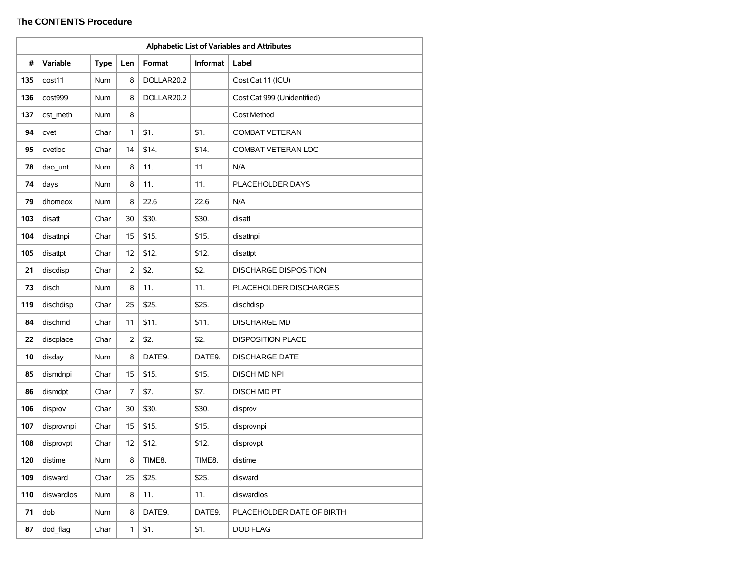|     | Alphabetic List of Variables and Attributes |             |                |            |                 |                              |  |  |  |  |
|-----|---------------------------------------------|-------------|----------------|------------|-----------------|------------------------------|--|--|--|--|
| #   | <b>Variable</b>                             | <b>Type</b> | Len            | Format     | <b>Informat</b> | Label                        |  |  |  |  |
| 135 | cost11                                      | Num         | 8              | DOLLAR20.2 |                 | Cost Cat 11 (ICU)            |  |  |  |  |
| 136 | cost999                                     | <b>Num</b>  | 8              | DOLLAR20.2 |                 | Cost Cat 999 (Unidentified)  |  |  |  |  |
| 137 | cst meth                                    | Num         | 8              |            |                 | Cost Method                  |  |  |  |  |
| 94  | cvet                                        | Char        | 1              | \$1.       | \$1.            | <b>COMBAT VETERAN</b>        |  |  |  |  |
| 95  | cvetloc                                     | Char        | 14             | \$14.      | \$14.           | <b>COMBAT VETERAN LOC</b>    |  |  |  |  |
| 78  | dao_unt                                     | Num         | 8              | 11.        | 11.             | N/A                          |  |  |  |  |
| 74  | days                                        | Num         | 8              | 11.        | 11.             | PLACEHOLDER DAYS             |  |  |  |  |
| 79  | dhomeox                                     | Num         | 8              | 22.6       | 22.6            | N/A                          |  |  |  |  |
| 103 | disatt                                      | Char        | 30             | \$30.      | \$30.           | disatt                       |  |  |  |  |
| 104 | disattnpi                                   | Char        | 15             | \$15.      | \$15.           | disattnpi                    |  |  |  |  |
| 105 | disattpt                                    | Char        | 12             | \$12.      | \$12.           | disattpt                     |  |  |  |  |
| 21  | discdisp                                    | Char        | $\overline{2}$ | \$2.       | \$2.            | <b>DISCHARGE DISPOSITION</b> |  |  |  |  |
| 73  | disch                                       | Num         | 8              | 11.        | 11.             | PLACEHOLDER DISCHARGES       |  |  |  |  |
| 119 | dischdisp                                   | Char        | 25             | \$25.      | \$25.           | dischdisp                    |  |  |  |  |
| 84  | dischmd                                     | Char        | 11             | \$11.      | \$11.           | <b>DISCHARGE MD</b>          |  |  |  |  |
| 22  | discplace                                   | Char        | 2              | \$2.       | \$2.            | <b>DISPOSITION PLACE</b>     |  |  |  |  |
| 10  | disday                                      | Num         | 8              | DATE9.     | DATE9.          | <b>DISCHARGE DATE</b>        |  |  |  |  |
| 85  | dismdnpi                                    | Char        | 15             | \$15.      | \$15.           | <b>DISCH MD NPI</b>          |  |  |  |  |
| 86  | dismdpt                                     | Char        | 7              | \$7.       | \$7.            | DISCH MD PT                  |  |  |  |  |
| 106 | disprov                                     | Char        | 30             | \$30.      | \$30.           | disprov                      |  |  |  |  |
| 107 | disprovnpi                                  | Char        | 15             | \$15.      | \$15.           | disprovnpi                   |  |  |  |  |
| 108 | disprovpt                                   | Char        | 12             | \$12.      | \$12.           | disprovpt                    |  |  |  |  |
| 120 | distime                                     | Num         | 8              | TIME8.     | TIME8.          | distime                      |  |  |  |  |
| 109 | disward                                     | Char        | 25             | \$25.      | \$25.           | disward                      |  |  |  |  |
| 110 | diswardlos                                  | Num         | 8              | 11.        | 11.             | diswardlos                   |  |  |  |  |
| 71  | dob                                         | Num         | 8              | DATE9.     | DATE9.          | PLACEHOLDER DATE OF BIRTH    |  |  |  |  |
| 87  | dod_flag                                    | Char        | $\mathbf{1}$   | \$1.       | \$1.            | DOD FLAG                     |  |  |  |  |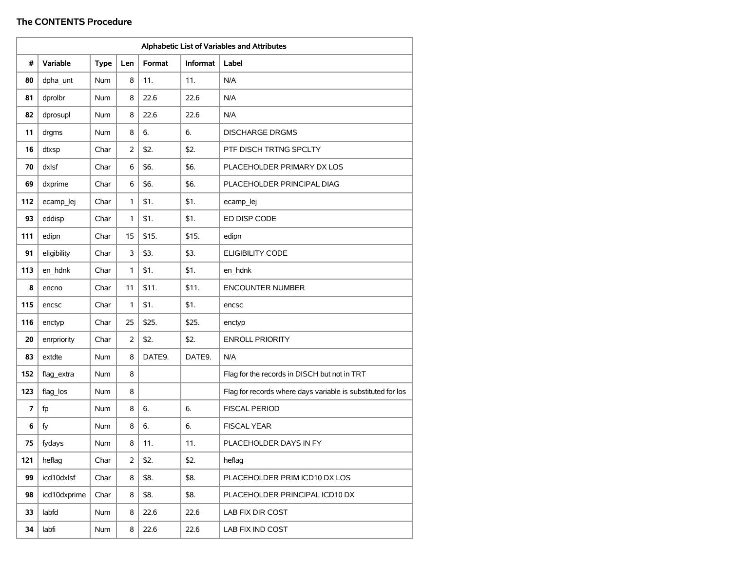|     | Alphabetic List of Variables and Attributes |             |                |        |          |                                                             |  |  |  |
|-----|---------------------------------------------|-------------|----------------|--------|----------|-------------------------------------------------------------|--|--|--|
| #   | <b>Variable</b>                             | <b>Type</b> | Len            | Format | Informat | Label                                                       |  |  |  |
| 80  | dpha_unt                                    | Num         | 8              | 11.    | 11.      | N/A                                                         |  |  |  |
| 81  | dprolbr                                     | <b>Num</b>  | 8              | 22.6   | 22.6     | N/A                                                         |  |  |  |
| 82  | dprosupl                                    | Num         | 8              | 22.6   | 22.6     | N/A                                                         |  |  |  |
| 11  | drgms                                       | Num         | 8              | 6.     | 6.       | <b>DISCHARGE DRGMS</b>                                      |  |  |  |
| 16  | dtxsp                                       | Char        | $\overline{2}$ | \$2.   | \$2.     | PTF DISCH TRTNG SPCLTY                                      |  |  |  |
| 70  | dxlsf                                       | Char        | 6              | \$6.   | \$6.     | PLACEHOLDER PRIMARY DX LOS                                  |  |  |  |
| 69  | dxprime                                     | Char        | 6              | \$6.   | \$6.     | PLACEHOLDER PRINCIPAL DIAG                                  |  |  |  |
| 112 | ecamp_lej                                   | Char        | 1              | \$1.   | \$1.     | ecamp_lej                                                   |  |  |  |
| 93  | eddisp                                      | Char        | 1              | \$1.   | \$1.     | ED DISP CODE                                                |  |  |  |
| 111 | edipn                                       | Char        | 15             | \$15.  | \$15.    | edipn                                                       |  |  |  |
| 91  | eligibility                                 | Char        | 3              | \$3.   | \$3.     | <b>ELIGIBILITY CODE</b>                                     |  |  |  |
| 113 | en hdnk                                     | Char        | 1              | \$1.   | \$1.     | en_hdnk                                                     |  |  |  |
| 8   | encno                                       | Char        | 11             | \$11.  | \$11.    | <b>ENCOUNTER NUMBER</b>                                     |  |  |  |
| 115 | encsc                                       | Char        | 1              | \$1.   | \$1.     | encsc                                                       |  |  |  |
| 116 | enctyp                                      | Char        | 25             | \$25.  | \$25.    | enctyp                                                      |  |  |  |
| 20  | enrpriority                                 | Char        | 2              | \$2.   | \$2.     | <b>ENROLL PRIORITY</b>                                      |  |  |  |
| 83  | extdte                                      | Num         | 8              | DATE9. | DATE9.   | N/A                                                         |  |  |  |
| 152 | flag_extra                                  | Num         | 8              |        |          | Flag for the records in DISCH but not in TRT                |  |  |  |
| 123 | flag_los                                    | Num         | 8              |        |          | Flag for records where days variable is substituted for los |  |  |  |
| 7   | fp                                          | Num         | 8              | 6.     | 6.       | <b>FISCAL PERIOD</b>                                        |  |  |  |
| 6   | fy                                          | Num         | 8              | 6.     | 6.       | <b>FISCAL YEAR</b>                                          |  |  |  |
| 75  | fydays                                      | <b>Num</b>  | 8              | 11.    | 11.      | PLACEHOLDER DAYS IN FY                                      |  |  |  |
| 121 | heflag                                      | Char        | 2              | \$2.   | \$2.     | heflag                                                      |  |  |  |
| 99  | icd10dxlsf                                  | Char        | 8              | \$8.   | \$8.     | PLACEHOLDER PRIM ICD10 DX LOS                               |  |  |  |
| 98  | icd10dxprime                                | Char        | 8              | \$8.   | \$8.     | PLACEHOLDER PRINCIPAL ICD10 DX                              |  |  |  |
| 33  | labfd                                       | Num         | 8              | 22.6   | 22.6     | LAB FIX DIR COST                                            |  |  |  |
| 34  | labfi                                       | Num         | 8              | 22.6   | 22.6     | LAB FIX IND COST                                            |  |  |  |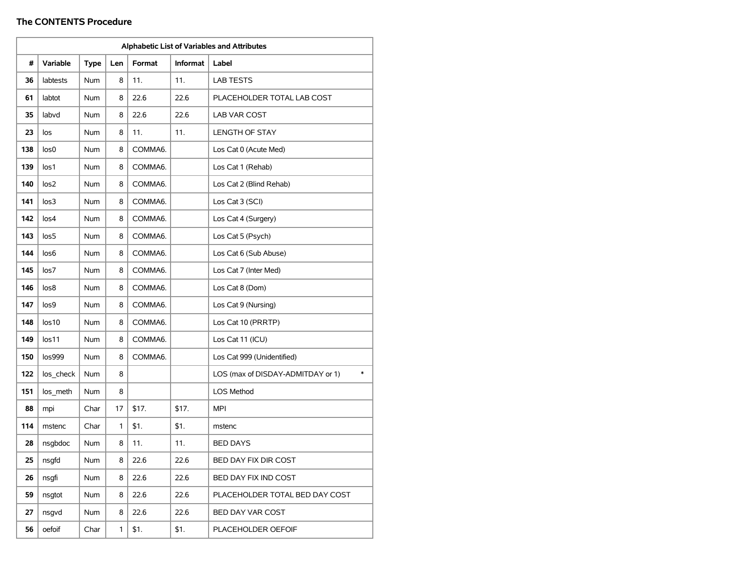| Alphabetic List of Variables and Attributes |           |             |     |         |          |                                             |  |  |  |
|---------------------------------------------|-----------|-------------|-----|---------|----------|---------------------------------------------|--|--|--|
| #                                           | Variable  | <b>Type</b> | Len | Format  | Informat | Label                                       |  |  |  |
| 36                                          | labtests  | Num         | 8   | 11.     | 11.      | <b>LAB TESTS</b>                            |  |  |  |
| 61                                          | labtot    | Num         | 8   | 22.6    | 22.6     | PLACEHOLDER TOTAL LAB COST                  |  |  |  |
| 35                                          | labvd     | <b>Num</b>  | 8   | 22.6    | 22.6     | LAB VAR COST                                |  |  |  |
| 23                                          | los       | Num         | 8   | 11.     | 11.      | <b>LENGTH OF STAY</b>                       |  |  |  |
| 138                                         | los0      | Num         | 8   | COMMA6. |          | Los Cat 0 (Acute Med)                       |  |  |  |
| 139                                         | los1      | Num         | 8   | COMMA6. |          | Los Cat 1 (Rehab)                           |  |  |  |
| 140                                         | los2      | <b>Num</b>  | 8   | COMMA6. |          | Los Cat 2 (Blind Rehab)                     |  |  |  |
| 141                                         | los3      | Num         | 8   | COMMA6. |          | Los Cat 3 (SCI)                             |  |  |  |
| 142                                         | los4      | Num         | 8   | COMMA6. |          | Los Cat 4 (Surgery)                         |  |  |  |
| 143                                         | los5      | Num         | 8   | COMMA6. |          | Los Cat 5 (Psych)                           |  |  |  |
| 144                                         | los6      | Num         | 8   | COMMA6. |          | Los Cat 6 (Sub Abuse)                       |  |  |  |
| 145                                         | los7      | Num         | 8   | COMMA6. |          | Los Cat 7 (Inter Med)                       |  |  |  |
| 146                                         | los8      | Num         | 8   | COMMA6. |          | Los Cat 8 (Dom)                             |  |  |  |
| 147                                         | los9      | Num         | 8   | COMMA6. |          | Los Cat 9 (Nursing)                         |  |  |  |
| 148                                         | los10     | Num         | 8   | COMMA6. |          | Los Cat 10 (PRRTP)                          |  |  |  |
| 149                                         | los11     | <b>Num</b>  | 8   | COMMA6. |          | Los Cat 11 (ICU)                            |  |  |  |
| 150                                         | los999    | Num         | 8   | COMMA6. |          | Los Cat 999 (Unidentified)                  |  |  |  |
| 122                                         | los_check | Num         | 8   |         |          | $\ast$<br>LOS (max of DISDAY-ADMITDAY or 1) |  |  |  |
| 151                                         | los_meth  | Num         | 8   |         |          | LOS Method                                  |  |  |  |
| 88                                          | mpi       | Char        | 17  | \$17.   | \$17.    | MPI                                         |  |  |  |
| 114                                         | mstenc    | Char        | 1   | \$1.    | \$1.     | mstenc                                      |  |  |  |
| 28                                          | nsgbdoc   | Num         | 8   | 11.     | 11.      | BED DAYS                                    |  |  |  |
| 25                                          | nsgfd     | Num         | 8   | 22.6    | 22.6     | BED DAY FIX DIR COST                        |  |  |  |
| 26                                          | nsgfi     | Num         | 8   | 22.6    | 22.6     | BED DAY FIX IND COST                        |  |  |  |
| 59                                          | nsgtot    | Num         | 8   | 22.6    | 22.6     | PLACEHOLDER TOTAL BED DAY COST              |  |  |  |
| 27                                          | nsgvd     | Num         | 8   | 22.6    | 22.6     | BED DAY VAR COST                            |  |  |  |
| 56                                          | oefoif    | Char        | 1   | \$1.    | \$1.     | PLACEHOLDER OEFOIF                          |  |  |  |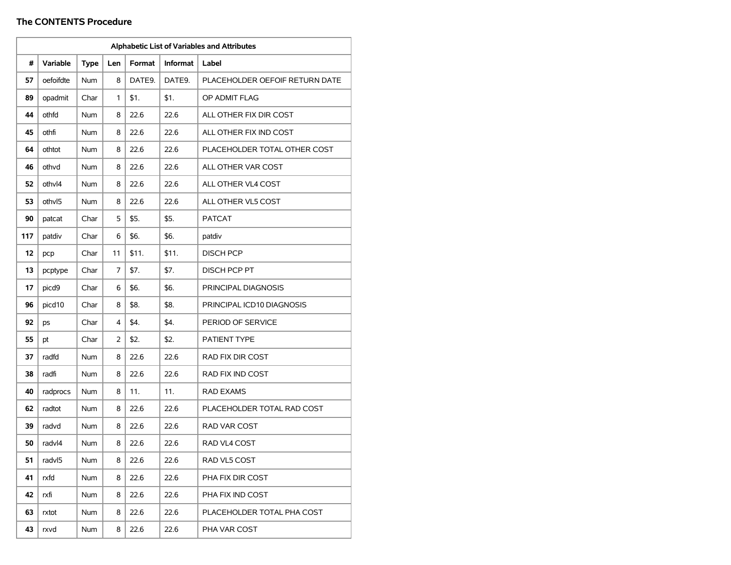| Alphabetic List of Variables and Attributes |           |             |     |        |          |                                |  |  |  |
|---------------------------------------------|-----------|-------------|-----|--------|----------|--------------------------------|--|--|--|
| #                                           | Variable  | <b>Type</b> | Len | Format | Informat | Label                          |  |  |  |
| 57                                          | oefoifdte | Num         | 8   | DATE9. | DATE9.   | PLACEHOLDER OEFOIF RETURN DATE |  |  |  |
| 89                                          | opadmit   | Char        | 1   | \$1.   | \$1.     | OP ADMIT FLAG                  |  |  |  |
| 44                                          | othfd     | <b>Num</b>  | 8   | 22.6   | 22.6     | ALL OTHER FIX DIR COST         |  |  |  |
| 45                                          | othfi     | Num         | 8   | 22.6   | 22.6     | ALL OTHER FIX IND COST         |  |  |  |
| 64                                          | othtot    | Num         | 8   | 22.6   | 22.6     | PLACEHOLDER TOTAL OTHER COST   |  |  |  |
| 46                                          | othvd     | Num         | 8   | 22.6   | 22.6     | ALL OTHER VAR COST             |  |  |  |
| 52                                          | othvl4    | <b>Num</b>  | 8   | 22.6   | 22.6     | ALL OTHER VL4 COST             |  |  |  |
| 53                                          | othvl5    | Num         | 8   | 22.6   | 22.6     | ALL OTHER VL5 COST             |  |  |  |
| 90                                          | patcat    | Char        | 5   | \$5.   | \$5.     | <b>PATCAT</b>                  |  |  |  |
| 117                                         | patdiv    | Char        | 6   | \$6.   | \$6.     | patdiv                         |  |  |  |
| 12                                          | pcp       | Char        | 11  | \$11.  | \$11.    | <b>DISCH PCP</b>               |  |  |  |
| 13                                          | pcptype   | Char        | 7   | \$7.   | \$7.     | <b>DISCH PCP PT</b>            |  |  |  |
| 17                                          | picd9     | Char        | 6   | \$6.   | \$6.     | PRINCIPAL DIAGNOSIS            |  |  |  |
| 96                                          | picd10    | Char        | 8   | \$8.   | \$8.     | PRINCIPAL ICD10 DIAGNOSIS      |  |  |  |
| 92                                          | ps        | Char        | 4   | \$4.   | \$4.     | PERIOD OF SERVICE              |  |  |  |
| 55                                          | pt        | Char        | 2   | \$2.   | \$2.     | PATIENT TYPE                   |  |  |  |
| 37                                          | radfd     | Num         | 8   | 22.6   | 22.6     | RAD FIX DIR COST               |  |  |  |
| 38                                          | radfi     | <b>Num</b>  | 8   | 22.6   | 22.6     | RAD FIX IND COST               |  |  |  |
| 40                                          | radprocs  | Num         | 8   | 11.    | 11.      | <b>RAD EXAMS</b>               |  |  |  |
| 62                                          | radtot    | Num         | 8   | 22.6   | 22.6     | PLACEHOLDER TOTAL RAD COST     |  |  |  |
| 39                                          | radvd     | Num         | 8   | 22.6   | 22.6     | RAD VAR COST                   |  |  |  |
| 50                                          | radvl4    | Num         | 8   | 22.6   | 22.6     | RAD VL4 COST                   |  |  |  |
| 51                                          | radvl5    | Num         | 8   | 22.6   | 22.6     | RAD VL5 COST                   |  |  |  |
| 41                                          | rxfd      | Num         | 8   | 22.6   | 22.6     | PHA FIX DIR COST               |  |  |  |
| 42                                          | rxfi      | Num         | 8   | 22.6   | 22.6     | PHA FIX IND COST               |  |  |  |
| 63                                          | rxtot     | Num         | 8   | 22.6   | 22.6     | PLACEHOLDER TOTAL PHA COST     |  |  |  |
| 43                                          | rxvd      | Num         | 8   | 22.6   | 22.6     | PHA VAR COST                   |  |  |  |